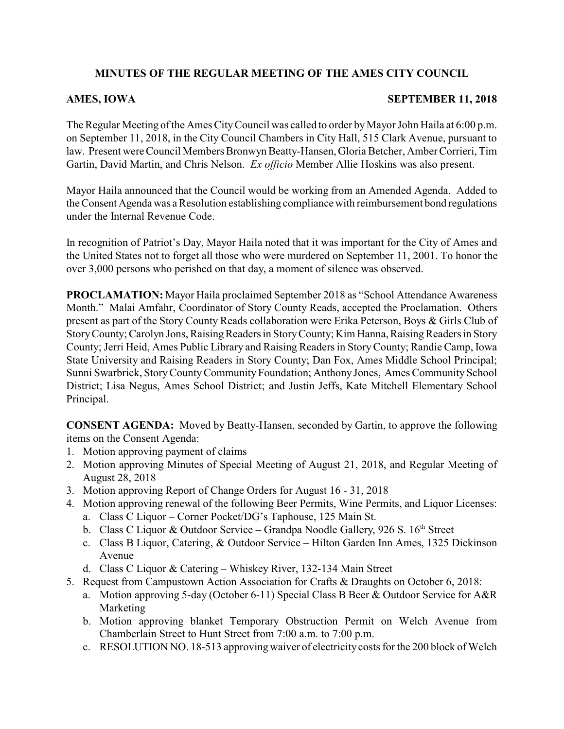# **MINUTES OF THE REGULAR MEETING OF THE AMES CITY COUNCIL**

### **AMES, IOWA SEPTEMBER 11, 2018**

The Regular Meeting of the Ames City Council was called to order by Mayor John Haila at 6:00 p.m. on September 11, 2018, in the City Council Chambers in City Hall, 515 Clark Avenue, pursuant to law. Present were Council Members Bronwyn Beatty-Hansen, Gloria Betcher, Amber Corrieri, Tim Gartin, David Martin, and Chris Nelson. *Ex officio* Member Allie Hoskins was also present.

Mayor Haila announced that the Council would be working from an Amended Agenda. Added to the Consent Agenda was a Resolution establishing compliance with reimbursement bond regulations under the Internal Revenue Code.

In recognition of Patriot's Day, Mayor Haila noted that it was important for the City of Ames and the United States not to forget all those who were murdered on September 11, 2001. To honor the over 3,000 persons who perished on that day, a moment of silence was observed.

**PROCLAMATION:** Mayor Haila proclaimed September 2018 as "School Attendance Awareness Month." Malai Amfahr, Coordinator of Story County Reads, accepted the Proclamation. Others present as part of the Story County Reads collaboration were Erika Peterson, Boys & Girls Club of Story County; Carolyn Jons, Raising Readers in Story County; Kim Hanna, Raising Readers in Story County; Jerri Heid, Ames Public Library and Raising Readers in StoryCounty; Randie Camp, Iowa State University and Raising Readers in Story County; Dan Fox, Ames Middle School Principal; Sunni Swarbrick, StoryCountyCommunity Foundation; Anthony Jones, Ames Community School District; Lisa Negus, Ames School District; and Justin Jeffs, Kate Mitchell Elementary School Principal.

**CONSENT AGENDA:** Moved by Beatty-Hansen, seconded by Gartin, to approve the following items on the Consent Agenda:

- 1. Motion approving payment of claims
- 2. Motion approving Minutes of Special Meeting of August 21, 2018, and Regular Meeting of August 28, 2018
- 3. Motion approving Report of Change Orders for August 16 31, 2018
- 4. Motion approving renewal of the following Beer Permits, Wine Permits, and Liquor Licenses:
	- a. Class C Liquor Corner Pocket/DG's Taphouse, 125 Main St.
	- b. Class C Liquor & Outdoor Service Grandpa Noodle Gallery, 926 S. 16<sup>th</sup> Street
	- c. Class B Liquor, Catering, & Outdoor Service Hilton Garden Inn Ames, 1325 Dickinson Avenue
	- d. Class C Liquor & Catering Whiskey River, 132-134 Main Street
- 5. Request from Campustown Action Association for Crafts & Draughts on October 6, 2018:
	- a. Motion approving 5-day (October 6-11) Special Class B Beer & Outdoor Service for A&R Marketing
	- b. Motion approving blanket Temporary Obstruction Permit on Welch Avenue from Chamberlain Street to Hunt Street from 7:00 a.m. to 7:00 p.m.
	- c. RESOLUTION NO. 18-513 approvingwaiver of electricitycosts for the 200 block of Welch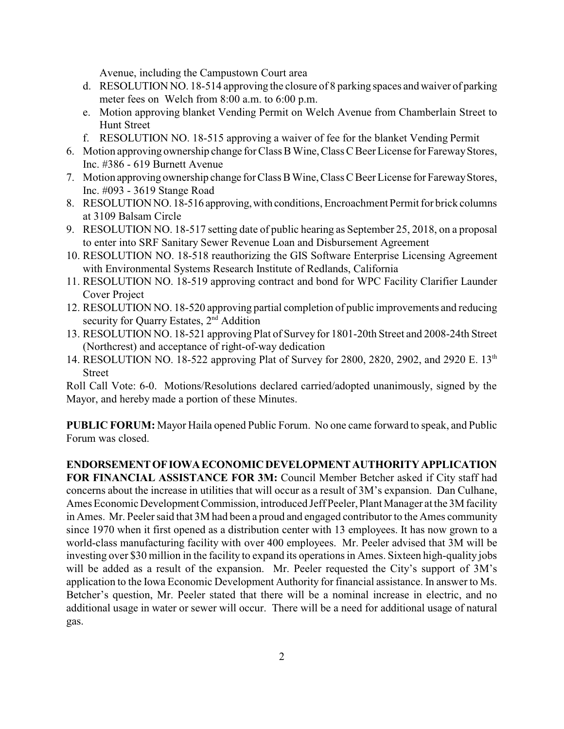Avenue, including the Campustown Court area

- d. RESOLUTION NO. 18-514 approving the closure of 8 parking spaces and waiver of parking meter fees on Welch from 8:00 a.m. to 6:00 p.m.
- e. Motion approving blanket Vending Permit on Welch Avenue from Chamberlain Street to Hunt Street
- f. RESOLUTION NO. 18-515 approving a waiver of fee for the blanket Vending Permit
- 6. Motion approving ownership change for Class BWine,Class C Beer License for FarewayStores, Inc. #386 - 619 Burnett Avenue
- 7. Motion approving ownership change for Class BWine, Class C Beer License for FarewayStores, Inc. #093 - 3619 Stange Road
- 8. RESOLUTIONNO. 18-516 approving,with conditions, Encroachment Permit for brick columns at 3109 Balsam Circle
- 9. RESOLUTION NO. 18-517 setting date of public hearing as September 25, 2018, on a proposal to enter into SRF Sanitary Sewer Revenue Loan and Disbursement Agreement
- 10. RESOLUTION NO. 18-518 reauthorizing the GIS Software Enterprise Licensing Agreement with Environmental Systems Research Institute of Redlands, California
- 11. RESOLUTION NO. 18-519 approving contract and bond for WPC Facility Clarifier Launder Cover Project
- 12. RESOLUTION NO. 18-520 approving partial completion of public improvements and reducing security for Quarry Estates, 2<sup>nd</sup> Addition
- 13. RESOLUTION NO. 18-521 approving Plat of Survey for 1801-20th Street and 2008-24th Street (Northcrest) and acceptance of right-of-way dedication
- 14. RESOLUTION NO. 18-522 approving Plat of Survey for 2800, 2820, 2902, and 2920 E. 13th Street

Roll Call Vote: 6-0. Motions/Resolutions declared carried/adopted unanimously, signed by the Mayor, and hereby made a portion of these Minutes.

**PUBLIC FORUM:** Mayor Haila opened Public Forum. No one came forward to speak, and Public Forum was closed.

## **ENDORSEMENTOFIOWAECONOMICDEVELOPMENTAUTHORITYAPPLICATION**

**FOR FINANCIAL ASSISTANCE FOR 3M:** Council Member Betcher asked if City staff had concerns about the increase in utilities that will occur as a result of 3M's expansion. Dan Culhane, Ames Economic Development Commission, introduced Jeff Peeler, Plant Manager at the 3M facility in Ames. Mr. Peeler said that 3M had been a proud and engaged contributor to the Ames community since 1970 when it first opened as a distribution center with 13 employees. It has now grown to a world-class manufacturing facility with over 400 employees. Mr. Peeler advised that 3M will be investing over \$30 million in the facility to expand its operations in Ames. Sixteen high-quality jobs will be added as a result of the expansion. Mr. Peeler requested the City's support of 3M's application to the Iowa Economic Development Authority for financial assistance. In answer to Ms. Betcher's question, Mr. Peeler stated that there will be a nominal increase in electric, and no additional usage in water or sewer will occur. There will be a need for additional usage of natural gas.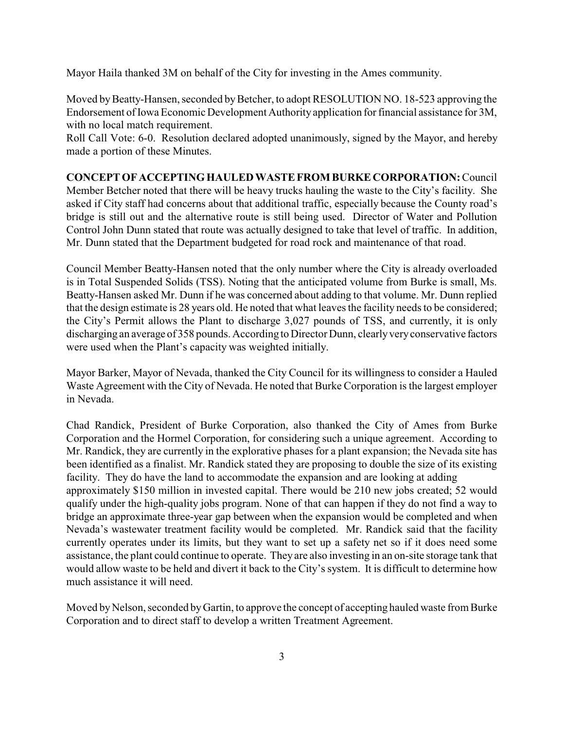Mayor Haila thanked 3M on behalf of the City for investing in the Ames community.

Moved by Beatty-Hansen, seconded by Betcher, to adopt RESOLUTION NO. 18-523 approving the Endorsement of Iowa Economic Development Authority application for financial assistance for 3M, with no local match requirement.

Roll Call Vote: 6-0. Resolution declared adopted unanimously, signed by the Mayor, and hereby made a portion of these Minutes.

**CONCEPT OFACCEPTINGHAULED WASTEFROM BURKE CORPORATION:**Council Member Betcher noted that there will be heavy trucks hauling the waste to the City's facility. She asked if City staff had concerns about that additional traffic, especially because the County road's bridge is still out and the alternative route is still being used. Director of Water and Pollution Control John Dunn stated that route was actually designed to take that level of traffic. In addition, Mr. Dunn stated that the Department budgeted for road rock and maintenance of that road.

Council Member Beatty-Hansen noted that the only number where the City is already overloaded is in Total Suspended Solids (TSS). Noting that the anticipated volume from Burke is small, Ms. Beatty-Hansen asked Mr. Dunn if he was concerned about adding to that volume. Mr. Dunn replied that the design estimate is 28 years old. He noted that what leaves the facility needs to be considered; the City's Permit allows the Plant to discharge 3,027 pounds of TSS, and currently, it is only discharging an average of 358 pounds. According to Director Dunn, clearlyveryconservative factors were used when the Plant's capacity was weighted initially.

Mayor Barker, Mayor of Nevada, thanked the City Council for its willingness to consider a Hauled Waste Agreement with the City of Nevada. He noted that Burke Corporation is the largest employer in Nevada.

Chad Randick, President of Burke Corporation, also thanked the City of Ames from Burke Corporation and the Hormel Corporation, for considering such a unique agreement. According to Mr. Randick, they are currently in the explorative phases for a plant expansion; the Nevada site has been identified as a finalist. Mr. Randick stated they are proposing to double the size of its existing facility. They do have the land to accommodate the expansion and are looking at adding approximately \$150 million in invested capital. There would be 210 new jobs created; 52 would qualify under the high-quality jobs program. None of that can happen if they do not find a way to bridge an approximate three-year gap between when the expansion would be completed and when Nevada's wastewater treatment facility would be completed. Mr. Randick said that the facility currently operates under its limits, but they want to set up a safety net so if it does need some assistance, the plant could continue to operate. They are also investing in an on-site storage tank that would allow waste to be held and divert it back to the City's system. It is difficult to determine how much assistance it will need.

Moved by Nelson, seconded by Gartin, to approve the concept of accepting hauled waste from Burke Corporation and to direct staff to develop a written Treatment Agreement.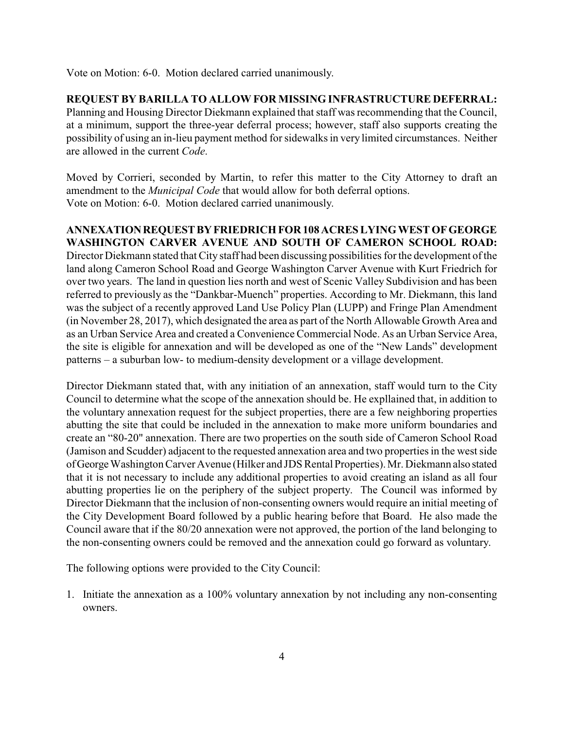Vote on Motion: 6-0. Motion declared carried unanimously.

**REQUEST BY BARILLA TO ALLOW FOR MISSING INFRASTRUCTURE DEFERRAL:** Planning and Housing Director Diekmann explained that staff was recommending that the Council, at a minimum, support the three-year deferral process; however, staff also supports creating the possibility of using an in-lieu payment method for sidewalks in very limited circumstances. Neither are allowed in the current *Code*.

Moved by Corrieri, seconded by Martin, to refer this matter to the City Attorney to draft an amendment to the *Municipal Code* that would allow for both deferral options. Vote on Motion: 6-0. Motion declared carried unanimously.

**ANNEXATIONREQUESTBYFRIEDRICH FOR 108 ACRES LYINGWEST OFGEORGE WASHINGTON CARVER AVENUE AND SOUTH OF CAMERON SCHOOL ROAD:** Director Diekmann stated that City staff had been discussing possibilities for the development of the land along Cameron School Road and George Washington Carver Avenue with Kurt Friedrich for over two years. The land in question lies north and west of Scenic Valley Subdivision and has been referred to previously as the "Dankbar-Muench" properties. According to Mr. Diekmann, this land was the subject of a recently approved Land Use Policy Plan (LUPP) and Fringe Plan Amendment (in November 28, 2017), which designated the area as part of the North Allowable Growth Area and as an Urban Service Area and created a Convenience Commercial Node. As an Urban Service Area, the site is eligible for annexation and will be developed as one of the "New Lands" development patterns – a suburban low- to medium-density development or a village development.

Director Diekmann stated that, with any initiation of an annexation, staff would turn to the City Council to determine what the scope of the annexation should be. He expllained that, in addition to the voluntary annexation request for the subject properties, there are a few neighboring properties abutting the site that could be included in the annexation to make more uniform boundaries and create an "80-20" annexation. There are two properties on the south side of Cameron School Road (Jamison and Scudder) adjacent to the requested annexation area and two properties in the west side ofGeorge Washington Carver Avenue (Hilker and JDS Rental Properties). Mr. Diekmann also stated that it is not necessary to include any additional properties to avoid creating an island as all four abutting properties lie on the periphery of the subject property. The Council was informed by Director Diekmann that the inclusion of non-consenting owners would require an initial meeting of the City Development Board followed by a public hearing before that Board. He also made the Council aware that if the 80/20 annexation were not approved, the portion of the land belonging to the non-consenting owners could be removed and the annexation could go forward as voluntary.

The following options were provided to the City Council:

1. Initiate the annexation as a 100% voluntary annexation by not including any non-consenting owners.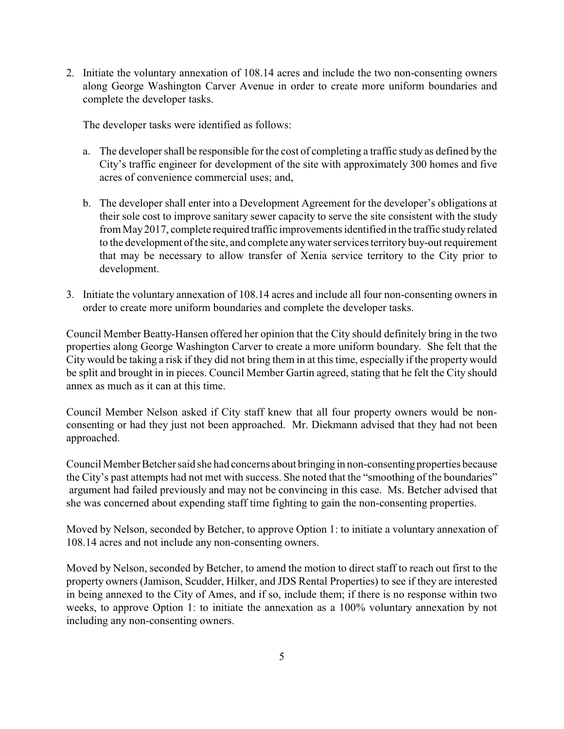2. Initiate the voluntary annexation of 108.14 acres and include the two non-consenting owners along George Washington Carver Avenue in order to create more uniform boundaries and complete the developer tasks.

The developer tasks were identified as follows:

- a. The developer shall be responsible for the cost of completing a traffic study as defined by the City's traffic engineer for development of the site with approximately 300 homes and five acres of convenience commercial uses; and,
- b. The developer shall enter into a Development Agreement for the developer's obligations at their sole cost to improve sanitary sewer capacity to serve the site consistent with the study from May2017, complete required traffic improvements identified in the traffic studyrelated to the development of the site, and complete anywater services territorybuy-out requirement that may be necessary to allow transfer of Xenia service territory to the City prior to development.
- 3. Initiate the voluntary annexation of 108.14 acres and include all four non-consenting owners in order to create more uniform boundaries and complete the developer tasks.

Council Member Beatty-Hansen offered her opinion that the City should definitely bring in the two properties along George Washington Carver to create a more uniform boundary. She felt that the City would be taking a risk if they did not bring them in at this time, especially if the property would be split and brought in in pieces. Council Member Gartin agreed, stating that he felt the City should annex as much as it can at this time.

Council Member Nelson asked if City staff knew that all four property owners would be nonconsenting or had they just not been approached. Mr. Diekmann advised that they had not been approached.

Council Member Betcher said she had concerns about bringing in non-consenting properties because the City's past attempts had not met with success. She noted that the "smoothing of the boundaries" argument had failed previously and may not be convincing in this case. Ms. Betcher advised that she was concerned about expending staff time fighting to gain the non-consenting properties.

Moved by Nelson, seconded by Betcher, to approve Option 1: to initiate a voluntary annexation of 108.14 acres and not include any non-consenting owners.

Moved by Nelson, seconded by Betcher, to amend the motion to direct staff to reach out first to the property owners (Jamison, Scudder, Hilker, and JDS Rental Properties) to see if they are interested in being annexed to the City of Ames, and if so, include them; if there is no response within two weeks, to approve Option 1: to initiate the annexation as a 100% voluntary annexation by not including any non-consenting owners.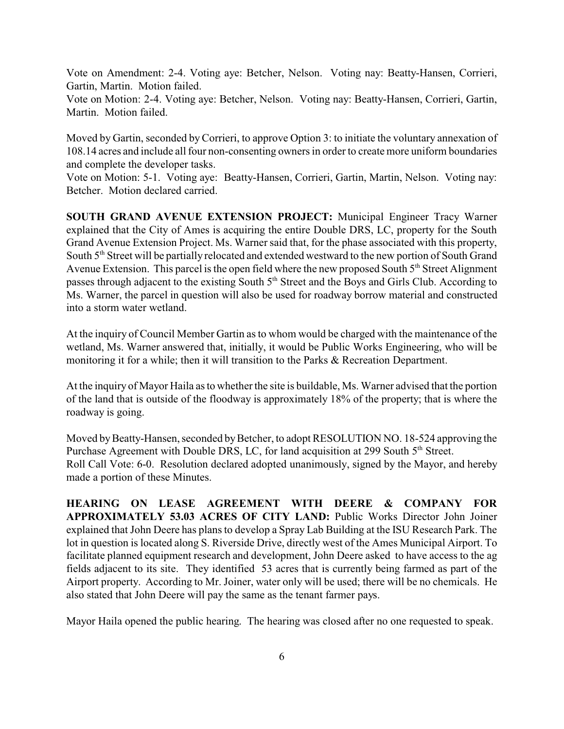Vote on Amendment: 2-4. Voting aye: Betcher, Nelson. Voting nay: Beatty-Hansen, Corrieri, Gartin, Martin. Motion failed.

Vote on Motion: 2-4. Voting aye: Betcher, Nelson. Voting nay: Beatty-Hansen, Corrieri, Gartin, Martin. Motion failed.

Moved by Gartin, seconded byCorrieri, to approve Option 3: to initiate the voluntary annexation of 108.14 acres and include all four non-consenting owners in order to create more uniform boundaries and complete the developer tasks.

Vote on Motion: 5-1. Voting aye: Beatty-Hansen, Corrieri, Gartin, Martin, Nelson. Voting nay: Betcher. Motion declared carried.

**SOUTH GRAND AVENUE EXTENSION PROJECT:** Municipal Engineer Tracy Warner explained that the City of Ames is acquiring the entire Double DRS, LC, property for the South Grand Avenue Extension Project. Ms. Warner said that, for the phase associated with this property, South 5<sup>th</sup> Street will be partially relocated and extended westward to the new portion of South Grand Avenue Extension. This parcel is the open field where the new proposed South  $5<sup>th</sup>$  Street Alignment passes through adjacent to the existing South 5<sup>th</sup> Street and the Boys and Girls Club. According to Ms. Warner, the parcel in question will also be used for roadway borrow material and constructed into a storm water wetland.

At the inquiry of Council Member Gartin as to whom would be charged with the maintenance of the wetland, Ms. Warner answered that, initially, it would be Public Works Engineering, who will be monitoring it for a while; then it will transition to the Parks & Recreation Department.

At the inquiry of Mayor Haila as to whether the site is buildable, Ms. Warner advised that the portion of the land that is outside of the floodway is approximately 18% of the property; that is where the roadway is going.

Moved by Beatty-Hansen, seconded by Betcher, to adopt RESOLUTION NO. 18-524 approving the Purchase Agreement with Double DRS, LC, for land acquisition at 299 South 5<sup>th</sup> Street. Roll Call Vote: 6-0. Resolution declared adopted unanimously, signed by the Mayor, and hereby made a portion of these Minutes.

**HEARING ON LEASE AGREEMENT WITH DEERE & COMPANY FOR APPROXIMATELY 53.03 ACRES OF CITY LAND:** Public Works Director John Joiner explained that John Deere has plans to develop a Spray Lab Building at the ISU Research Park. The lot in question is located along S. Riverside Drive, directly west of the Ames Municipal Airport. To facilitate planned equipment research and development, John Deere asked to have access to the ag fields adjacent to its site. They identified 53 acres that is currently being farmed as part of the Airport property. According to Mr. Joiner, water only will be used; there will be no chemicals. He also stated that John Deere will pay the same as the tenant farmer pays.

Mayor Haila opened the public hearing. The hearing was closed after no one requested to speak.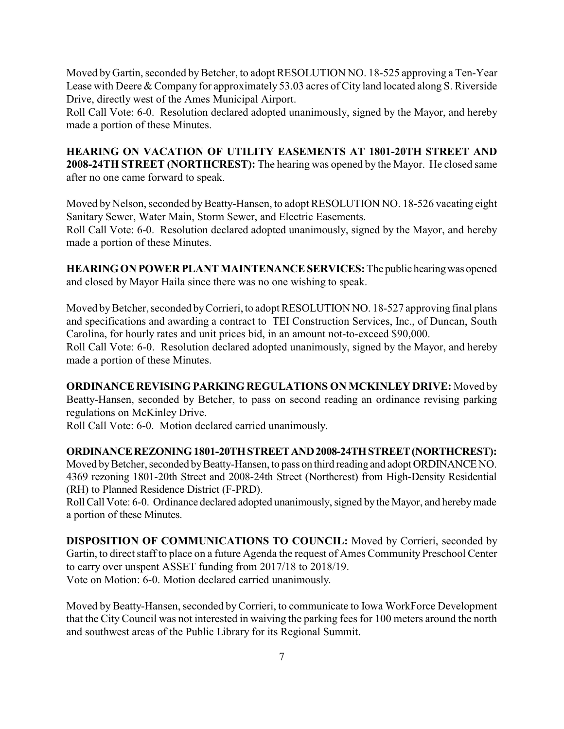Moved by Gartin, seconded by Betcher, to adopt RESOLUTION NO. 18-525 approving a Ten-Year Lease with Deere & Company for approximately 53.03 acres of City land located along S. Riverside Drive, directly west of the Ames Municipal Airport.

Roll Call Vote: 6-0. Resolution declared adopted unanimously, signed by the Mayor, and hereby made a portion of these Minutes.

**HEARING ON VACATION OF UTILITY EASEMENTS AT 1801-20TH STREET AND 2008-24TH STREET (NORTHCREST):** The hearing was opened by the Mayor. He closed same after no one came forward to speak.

Moved by Nelson, seconded by Beatty-Hansen, to adopt RESOLUTION NO. 18-526 vacating eight Sanitary Sewer, Water Main, Storm Sewer, and Electric Easements.

Roll Call Vote: 6-0. Resolution declared adopted unanimously, signed by the Mayor, and hereby made a portion of these Minutes.

**HEARINGON POWER PLANT MAINTENANCE SERVICES:**The public hearingwas opened and closed by Mayor Haila since there was no one wishing to speak.

Moved by Betcher, seconded by Corrieri, to adopt RESOLUTION NO. 18-527 approving final plans and specifications and awarding a contract to TEI Construction Services, Inc., of Duncan, South Carolina, for hourly rates and unit prices bid, in an amount not-to-exceed \$90,000.

Roll Call Vote: 6-0. Resolution declared adopted unanimously, signed by the Mayor, and hereby made a portion of these Minutes.

**ORDINANCE REVISING PARKING REGULATIONS ON MCKINLEY DRIVE:** Moved by Beatty-Hansen, seconded by Betcher, to pass on second reading an ordinance revising parking regulations on McKinley Drive.

Roll Call Vote: 6-0. Motion declared carried unanimously.

#### **ORDINANCEREZONING1801-20THSTREETAND2008-24THSTREET(NORTHCREST):**

Moved by Betcher, seconded by Beatty-Hansen, to pass on third reading and adopt ORDINANCE NO. 4369 rezoning 1801-20th Street and 2008-24th Street (Northcrest) from High-Density Residential (RH) to Planned Residence District (F-PRD).

Roll Call Vote: 6-0. Ordinance declared adopted unanimously, signed by the Mayor, and hereby made a portion of these Minutes.

**DISPOSITION OF COMMUNICATIONS TO COUNCIL:** Moved by Corrieri, seconded by Gartin, to direct staff to place on a future Agenda the request of Ames Community Preschool Center to carry over unspent ASSET funding from 2017/18 to 2018/19. Vote on Motion: 6-0. Motion declared carried unanimously.

Moved by Beatty-Hansen, seconded byCorrieri, to communicate to Iowa WorkForce Development that the City Council was not interested in waiving the parking fees for 100 meters around the north and southwest areas of the Public Library for its Regional Summit.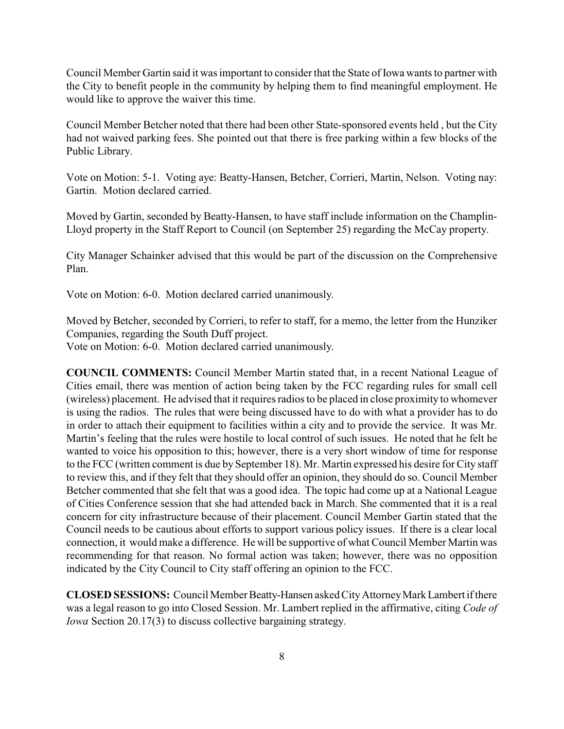Council Member Gartin said it was important to consider that the State of Iowa wants to partner with the City to benefit people in the community by helping them to find meaningful employment. He would like to approve the waiver this time.

Council Member Betcher noted that there had been other State-sponsored events held , but the City had not waived parking fees. She pointed out that there is free parking within a few blocks of the Public Library.

Vote on Motion: 5-1. Voting aye: Beatty-Hansen, Betcher, Corrieri, Martin, Nelson. Voting nay: Gartin. Motion declared carried.

Moved by Gartin, seconded by Beatty-Hansen, to have staff include information on the Champlin-Lloyd property in the Staff Report to Council (on September 25) regarding the McCay property.

City Manager Schainker advised that this would be part of the discussion on the Comprehensive Plan.

Vote on Motion: 6-0. Motion declared carried unanimously.

Moved by Betcher, seconded by Corrieri, to refer to staff, for a memo, the letter from the Hunziker Companies, regarding the South Duff project.

Vote on Motion: 6-0. Motion declared carried unanimously.

**COUNCIL COMMENTS:** Council Member Martin stated that, in a recent National League of Cities email, there was mention of action being taken by the FCC regarding rules for small cell (wireless) placement. He advised that it requires radios to be placed in close proximity to whomever is using the radios. The rules that were being discussed have to do with what a provider has to do in order to attach their equipment to facilities within a city and to provide the service. It was Mr. Martin's feeling that the rules were hostile to local control of such issues. He noted that he felt he wanted to voice his opposition to this; however, there is a very short window of time for response to the FCC (written comment is due by September 18). Mr. Martin expressed his desire for City staff to review this, and if they felt that they should offer an opinion, they should do so. Council Member Betcher commented that she felt that was a good idea. The topic had come up at a National League of Cities Conference session that she had attended back in March. She commented that it is a real concern for city infrastructure because of their placement. Council Member Gartin stated that the Council needs to be cautious about efforts to support various policy issues. If there is a clear local connection, it would make a difference. He will be supportive of what Council Member Martin was recommending for that reason. No formal action was taken; however, there was no opposition indicated by the City Council to City staff offering an opinion to the FCC.

**CLOSED SESSIONS:** Council Member Beatty-Hansen asked CityAttorneyMark Lambert if there was a legal reason to go into Closed Session. Mr. Lambert replied in the affirmative, citing *Code of Iowa* Section 20.17(3) to discuss collective bargaining strategy.